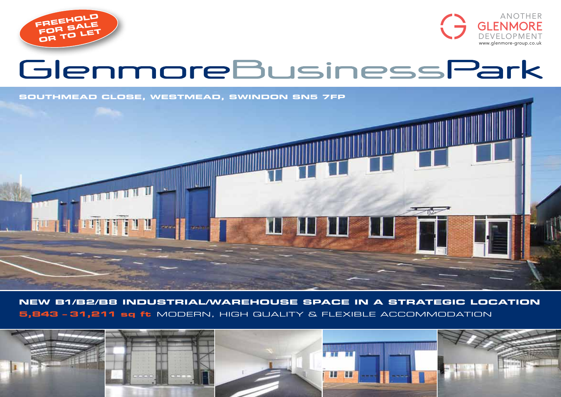



# GlenmoreBusinessPark

**SOUTHMEAD CLOSE, Westmead, swindon SN5 7FP**



**New B1/B2/B8 industrial/warehouse space in a strategic location 5,843 – 31,211 sq ft** modern, high quality & flexible accommodation